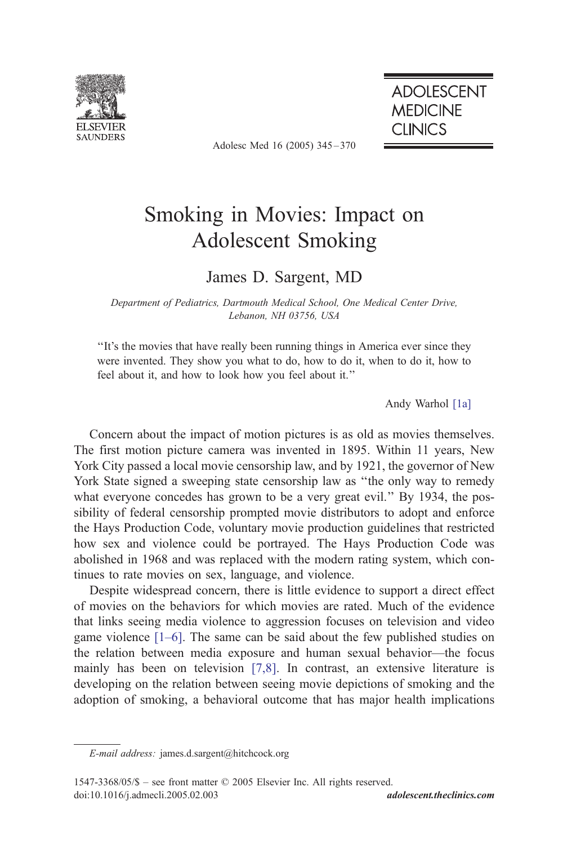

Adolesc Med 16 (2005) 345 – 370

**ADOLESCENT MEDICINE CLINICS** 

# Smoking in Movies: Impact on Adolescent Smoking

## James D. Sargent, MD

Department of Pediatrics, Dartmouth Medical School, One Medical Center Drive, Lebanon, NH 03756, USA

''It's the movies that have really been running things in America ever since they were invented. They show you what to do, how to do it, when to do it, how to feel about it, and how to look how you feel about it.''

Andy Warhol [\[1a\]](#page-21-0)

Concern about the impact of motion pictures is as old as movies themselves. The first motion picture camera was invented in 1895. Within 11 years, New York City passed a local movie censorship law, and by 1921, the governor of New York State signed a sweeping state censorship law as ''the only way to remedy what everyone concedes has grown to be a very great evil.'' By 1934, the possibility of federal censorship prompted movie distributors to adopt and enforce the Hays Production Code, voluntary movie production guidelines that restricted how sex and violence could be portrayed. The Hays Production Code was abolished in 1968 and was replaced with the modern rating system, which continues to rate movies on sex, language, and violence.

Despite widespread concern, there is little evidence to support a direct effect of movies on the behaviors for which movies are rated. Much of the evidence that links seeing media violence to aggression focuses on television and video game violence [\[1–6\].](#page-21-0) The same can be said about the few published studies on the relation between media exposure and human sexual behavior—the focus mainly has been on television [\[7,8\].](#page-21-0) In contrast, an extensive literature is developing on the relation between seeing movie depictions of smoking and the adoption of smoking, a behavioral outcome that has major health implications

E-mail address: james.d.sargent@hitchcock.org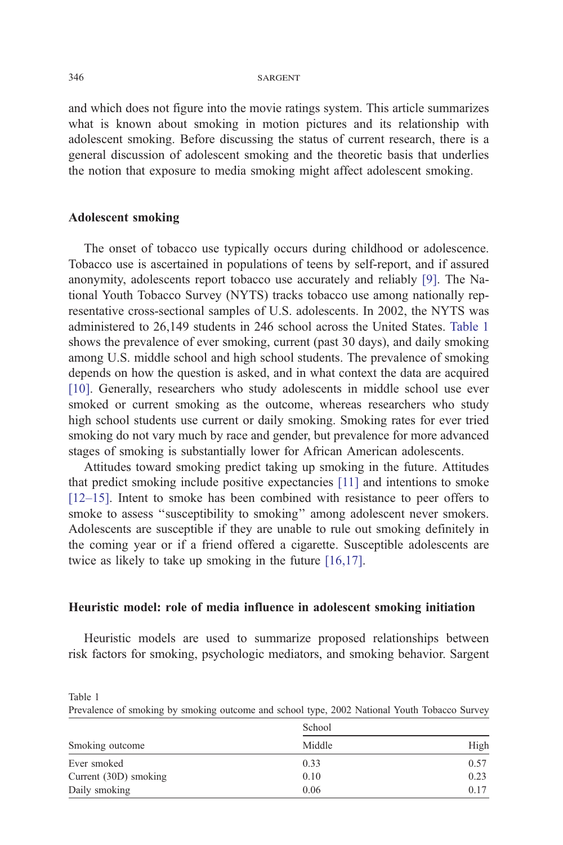and which does not figure into the movie ratings system. This article summarizes what is known about smoking in motion pictures and its relationship with adolescent smoking. Before discussing the status of current research, there is a general discussion of adolescent smoking and the theoretic basis that underlies the notion that exposure to media smoking might affect adolescent smoking.

### Adolescent smoking

The onset of tobacco use typically occurs during childhood or adolescence. Tobacco use is ascertained in populations of teens by self-report, and if assured anonymity, adolescents report tobacco use accurately and reliably [\[9\].](#page-21-0) The National Youth Tobacco Survey (NYTS) tracks tobacco use among nationally representative cross-sectional samples of U.S. adolescents. In 2002, the NYTS was administered to 26,149 students in 246 school across the United States. Table 1 shows the prevalence of ever smoking, current (past 30 days), and daily smoking among U.S. middle school and high school students. The prevalence of smoking depends on how the question is asked, and in what context the data are acquired [\[10\].](#page-21-0) Generally, researchers who study adolescents in middle school use ever smoked or current smoking as the outcome, whereas researchers who study high school students use current or daily smoking. Smoking rates for ever tried smoking do not vary much by race and gender, but prevalence for more advanced stages of smoking is substantially lower for African American adolescents.

Attitudes toward smoking predict taking up smoking in the future. Attitudes that predict smoking include positive expectancies [\[11\]](#page-21-0) and intentions to smoke [\[12–15\].](#page-21-0) Intent to smoke has been combined with resistance to peer offers to smoke to assess ''susceptibility to smoking'' among adolescent never smokers. Adolescents are susceptible if they are unable to rule out smoking definitely in the coming year or if a friend offered a cigarette. Susceptible adolescents are twice as likely to take up smoking in the future [\[16,17\].](#page-21-0)

### Heuristic model: role of media influence in adolescent smoking initiation

Heuristic models are used to summarize proposed relationships between risk factors for smoking, psychologic mediators, and smoking behavior. Sargent

| Smoking outcome       | School |      |
|-----------------------|--------|------|
|                       | Middle | High |
| Ever smoked           | 0.33   | 0.57 |
| Current (30D) smoking | 0.10   | 0.23 |
| Daily smoking         | 0.06   | 0.17 |

Prevalence of smoking by smoking outcome and school type, 2002 National Youth Tobacco Survey

Table 1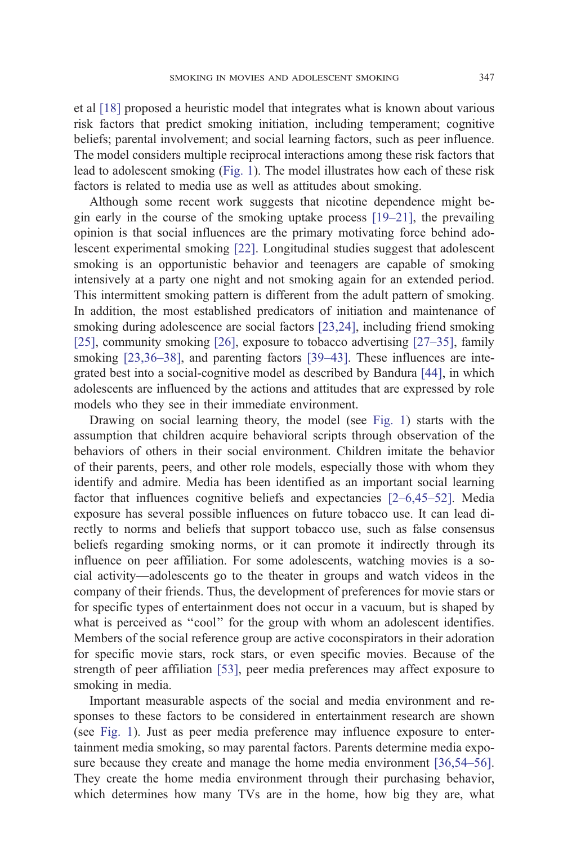et al [\[18\]](#page-21-0) proposed a heuristic model that integrates what is known about various risk factors that predict smoking initiation, including temperament; cognitive beliefs; parental involvement; and social learning factors, such as peer influence. The model considers multiple reciprocal interactions among these risk factors that lead to adolescent smoking ([Fig. 1\)](#page-3-0). The model illustrates how each of these risk factors is related to media use as well as attitudes about smoking.

Although some recent work suggests that nicotine dependence might begin early in the course of the smoking uptake process [\[19–21\],](#page-22-0) the prevailing opinion is that social influences are the primary motivating force behind adolescent experimental smoking [\[22\].](#page-22-0) Longitudinal studies suggest that adolescent smoking is an opportunistic behavior and teenagers are capable of smoking intensively at a party one night and not smoking again for an extended period. This intermittent smoking pattern is different from the adult pattern of smoking. In addition, the most established predicators of initiation and maintenance of smoking during adolescence are social factors [\[23,24\],](#page-22-0) including friend smoking [\[25\]](#page-22-0), community smoking [\[26\],](#page-22-0) exposure to tobacco advertising  $[27-35]$ , family smoking [\[23,36–38\],](#page-22-0) and parenting factors [\[39–43\].](#page-22-0) These influences are integrated best into a social-cognitive model as described by Bandura [\[44\],](#page-23-0) in which adolescents are influenced by the actions and attitudes that are expressed by role models who they see in their immediate environment.

Drawing on social learning theory, the model (see [Fig. 1\)](#page-3-0) starts with the assumption that children acquire behavioral scripts through observation of the behaviors of others in their social environment. Children imitate the behavior of their parents, peers, and other role models, especially those with whom they identify and admire. Media has been identified as an important social learning factor that influences cognitive beliefs and expectancies [\[2–6,45–52\].](#page-21-0) Media exposure has several possible influences on future tobacco use. It can lead directly to norms and beliefs that support tobacco use, such as false consensus beliefs regarding smoking norms, or it can promote it indirectly through its influence on peer affiliation. For some adolescents, watching movies is a social activity—adolescents go to the theater in groups and watch videos in the company of their friends. Thus, the development of preferences for movie stars or for specific types of entertainment does not occur in a vacuum, but is shaped by what is perceived as "cool" for the group with whom an adolescent identifies. Members of the social reference group are active coconspirators in their adoration for specific movie stars, rock stars, or even specific movies. Because of the strength of peer affiliation [\[53\],](#page-23-0) peer media preferences may affect exposure to smoking in media.

Important measurable aspects of the social and media environment and responses to these factors to be considered in entertainment research are shown (see [Fig. 1\)](#page-3-0). Just as peer media preference may influence exposure to entertainment media smoking, so may parental factors. Parents determine media expo-sure because they create and manage the home media environment [\[36,54–56\].](#page-22-0) They create the home media environment through their purchasing behavior, which determines how many TVs are in the home, how big they are, what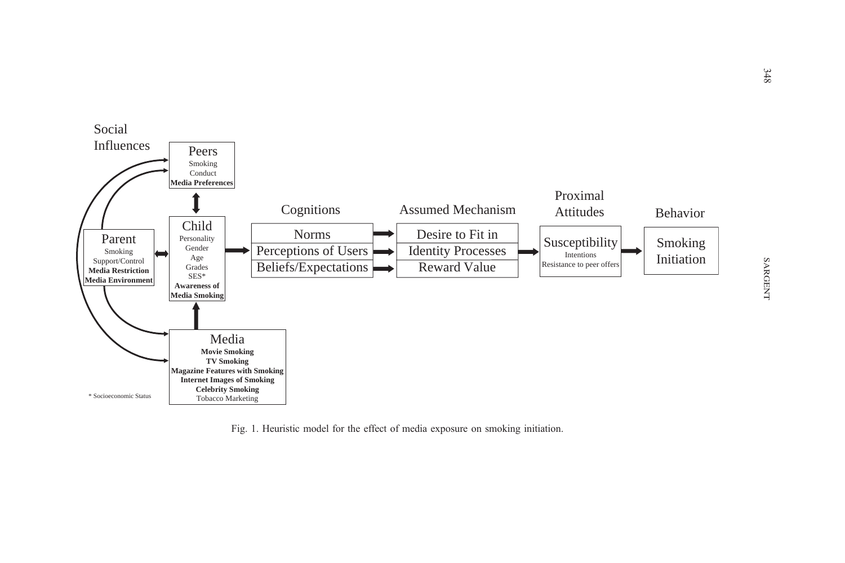<span id="page-3-0"></span>

Fig. 1. Heuristic model for the effect of media exposure on smoking initiation.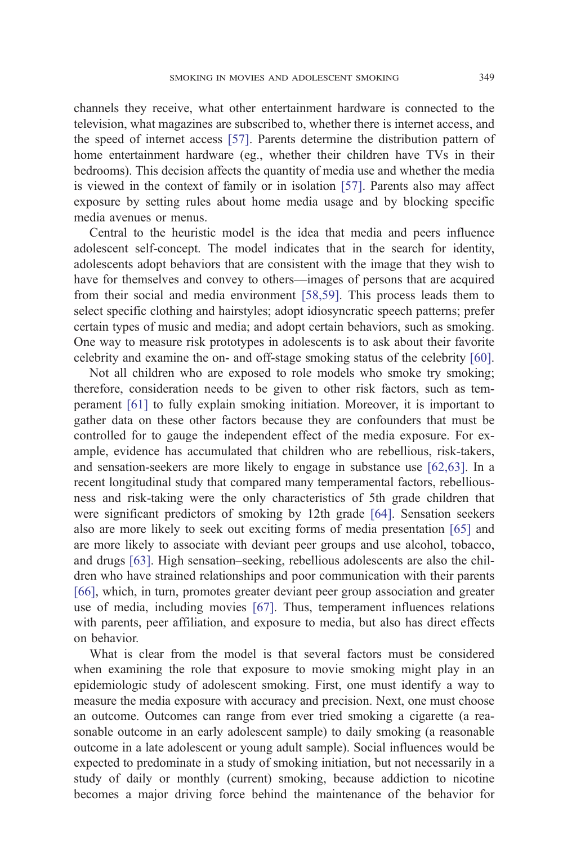channels they receive, what other entertainment hardware is connected to the television, what magazines are subscribed to, whether there is internet access, and the speed of internet access [\[57\].](#page-23-0) Parents determine the distribution pattern of home entertainment hardware (eg., whether their children have TVs in their bedrooms). This decision affects the quantity of media use and whether the media is viewed in the context of family or in isolation [\[57\].](#page-23-0) Parents also may affect exposure by setting rules about home media usage and by blocking specific media avenues or menus.

Central to the heuristic model is the idea that media and peers influence adolescent self-concept. The model indicates that in the search for identity, adolescents adopt behaviors that are consistent with the image that they wish to have for themselves and convey to others—images of persons that are acquired from their social and media environment [\[58,59\].](#page-23-0) This process leads them to select specific clothing and hairstyles; adopt idiosyncratic speech patterns; prefer certain types of music and media; and adopt certain behaviors, such as smoking. One way to measure risk prototypes in adolescents is to ask about their favorite celebrity and examine the on- and off-stage smoking status of the celebrity [\[60\].](#page-23-0)

Not all children who are exposed to role models who smoke try smoking; therefore, consideration needs to be given to other risk factors, such as temperament [\[61\]](#page-23-0) to fully explain smoking initiation. Moreover, it is important to gather data on these other factors because they are confounders that must be controlled for to gauge the independent effect of the media exposure. For example, evidence has accumulated that children who are rebellious, risk-takers, and sensation-seekers are more likely to engage in substance use [\[62,63\].](#page-23-0) In a recent longitudinal study that compared many temperamental factors, rebelliousness and risk-taking were the only characteristics of 5th grade children that were significant predictors of smoking by 12th grade [\[64\].](#page-23-0) Sensation seekers also are more likely to seek out exciting forms of media presentation [\[65\]](#page-23-0) and are more likely to associate with deviant peer groups and use alcohol, tobacco, and drugs [\[63\].](#page-23-0) High sensation–seeking, rebellious adolescents are also the children who have strained relationships and poor communication with their parents [\[66\]](#page-23-0), which, in turn, promotes greater deviant peer group association and greater use of media, including movies [\[67\].](#page-24-0) Thus, temperament influences relations with parents, peer affiliation, and exposure to media, but also has direct effects on behavior.

What is clear from the model is that several factors must be considered when examining the role that exposure to movie smoking might play in an epidemiologic study of adolescent smoking. First, one must identify a way to measure the media exposure with accuracy and precision. Next, one must choose an outcome. Outcomes can range from ever tried smoking a cigarette (a reasonable outcome in an early adolescent sample) to daily smoking (a reasonable outcome in a late adolescent or young adult sample). Social influences would be expected to predominate in a study of smoking initiation, but not necessarily in a study of daily or monthly (current) smoking, because addiction to nicotine becomes a major driving force behind the maintenance of the behavior for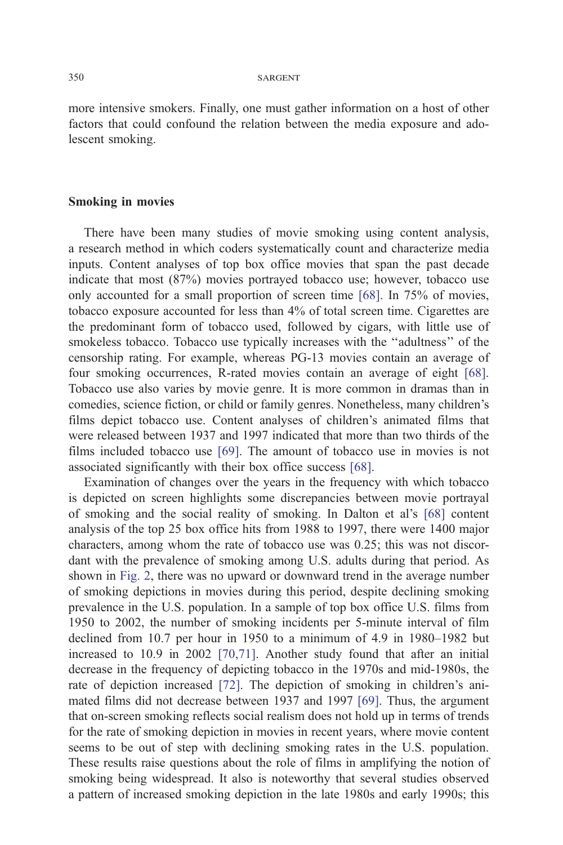more intensive smokers. Finally, one must gather information on a host of other factors that could confound the relation between the media exposure and adolescent smoking.

### Smoking in movies

There have been many studies of movie smoking using content analysis, a research method in which coders systematically count and characterize media inputs. Content analyses of top box office movies that span the past decade indicate that most (87%) movies portrayed tobacco use; however, tobacco use only accounted for a small proportion of screen time [\[68\].](#page-24-0) In 75% of movies, tobacco exposure accounted for less than 4% of total screen time. Cigarettes are the predominant form of tobacco used, followed by cigars, with little use of smokeless tobacco. Tobacco use typically increases with the ''adultness'' of the censorship rating. For example, whereas PG-13 movies contain an average of four smoking occurrences, R-rated movies contain an average of eight [\[68\].](#page-24-0) Tobacco use also varies by movie genre. It is more common in dramas than in comedies, science fiction, or child or family genres. Nonetheless, many children's films depict tobacco use. Content analyses of children's animated films that were released between 1937 and 1997 indicated that more than two thirds of the films included tobacco use [\[69\].](#page-24-0) The amount of tobacco use in movies is not associated significantly with their box office success [\[68\].](#page-24-0)

Examination of changes over the years in the frequency with which tobacco is depicted on screen highlights some discrepancies between movie portrayal of smoking and the social reality of smoking. In Dalton et al's [\[68\]](#page-24-0) content analysis of the top 25 box office hits from 1988 to 1997, there were 1400 major characters, among whom the rate of tobacco use was 0.25; this was not discordant with the prevalence of smoking among U.S. adults during that period. As shown in [Fig. 2,](#page-6-0) there was no upward or downward trend in the average number of smoking depictions in movies during this period, despite declining smoking prevalence in the U.S. population. In a sample of top box office U.S. films from 1950 to 2002, the number of smoking incidents per 5-minute interval of film declined from 10.7 per hour in 1950 to a minimum of 4.9 in 1980–1982 but increased to 10.9 in 2002 [\[70,71\].](#page-24-0) Another study found that after an initial decrease in the frequency of depicting tobacco in the 1970s and mid-1980s, the rate of depiction increased [\[72\].](#page-24-0) The depiction of smoking in children's animated films did not decrease between 1937 and 1997 [\[69\].](#page-24-0) Thus, the argument that on-screen smoking reflects social realism does not hold up in terms of trends for the rate of smoking depiction in movies in recent years, where movie content seems to be out of step with declining smoking rates in the U.S. population. These results raise questions about the role of films in amplifying the notion of smoking being widespread. It also is noteworthy that several studies observed a pattern of increased smoking depiction in the late 1980s and early 1990s; this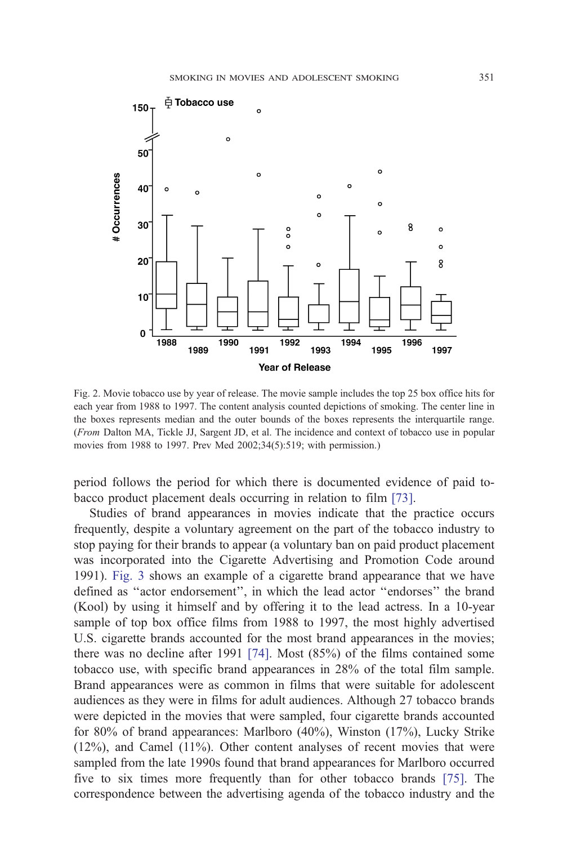<span id="page-6-0"></span>

Fig. 2. Movie tobacco use by year of release. The movie sample includes the top 25 box office hits for each year from 1988 to 1997. The content analysis counted depictions of smoking. The center line in the boxes represents median and the outer bounds of the boxes represents the interquartile range. (From Dalton MA, Tickle JJ, Sargent JD, et al. The incidence and context of tobacco use in popular movies from 1988 to 1997. Prev Med 2002;34(5):519; with permission.)

period follows the period for which there is documented evidence of paid tobacco product placement deals occurring in relation to film [\[73\].](#page-24-0)

Studies of brand appearances in movies indicate that the practice occurs frequently, despite a voluntary agreement on the part of the tobacco industry to stop paying for their brands to appear (a voluntary ban on paid product placement was incorporated into the Cigarette Advertising and Promotion Code around 1991). [Fig. 3](#page-7-0) shows an example of a cigarette brand appearance that we have defined as ''actor endorsement'', in which the lead actor ''endorses'' the brand (Kool) by using it himself and by offering it to the lead actress. In a 10-year sample of top box office films from 1988 to 1997, the most highly advertised U.S. cigarette brands accounted for the most brand appearances in the movies; there was no decline after 1991 [\[74\].](#page-24-0) Most (85%) of the films contained some tobacco use, with specific brand appearances in 28% of the total film sample. Brand appearances were as common in films that were suitable for adolescent audiences as they were in films for adult audiences. Although 27 tobacco brands were depicted in the movies that were sampled, four cigarette brands accounted for 80% of brand appearances: Marlboro (40%), Winston (17%), Lucky Strike (12%), and Camel (11%). Other content analyses of recent movies that were sampled from the late 1990s found that brand appearances for Marlboro occurred five to six times more frequently than for other tobacco brands [\[75\].](#page-24-0) The correspondence between the advertising agenda of the tobacco industry and the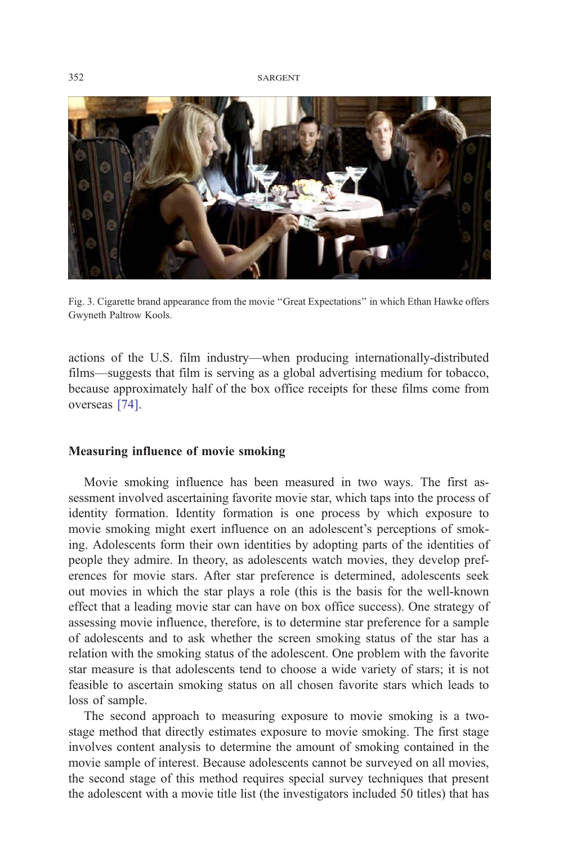<span id="page-7-0"></span>

Fig. 3. Cigarette brand appearance from the movie ''Great Expectations'' in which Ethan Hawke offers Gwyneth Paltrow Kools.

actions of the U.S. film industry—when producing internationally-distributed films—suggests that film is serving as a global advertising medium for tobacco, because approximately half of the box office receipts for these films come from overseas [\[74\].](#page-24-0)

### Measuring influence of movie smoking

Movie smoking influence has been measured in two ways. The first assessment involved ascertaining favorite movie star, which taps into the process of identity formation. Identity formation is one process by which exposure to movie smoking might exert influence on an adolescent's perceptions of smoking. Adolescents form their own identities by adopting parts of the identities of people they admire. In theory, as adolescents watch movies, they develop preferences for movie stars. After star preference is determined, adolescents seek out movies in which the star plays a role (this is the basis for the well-known effect that a leading movie star can have on box office success). One strategy of assessing movie influence, therefore, is to determine star preference for a sample of adolescents and to ask whether the screen smoking status of the star has a relation with the smoking status of the adolescent. One problem with the favorite star measure is that adolescents tend to choose a wide variety of stars; it is not feasible to ascertain smoking status on all chosen favorite stars which leads to loss of sample.

The second approach to measuring exposure to movie smoking is a twostage method that directly estimates exposure to movie smoking. The first stage involves content analysis to determine the amount of smoking contained in the movie sample of interest. Because adolescents cannot be surveyed on all movies, the second stage of this method requires special survey techniques that present the adolescent with a movie title list (the investigators included 50 titles) that has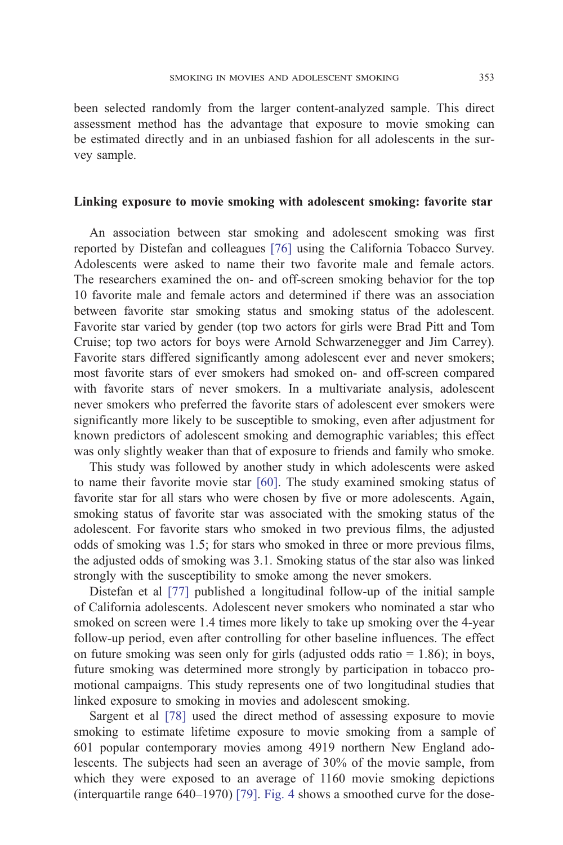been selected randomly from the larger content-analyzed sample. This direct assessment method has the advantage that exposure to movie smoking can be estimated directly and in an unbiased fashion for all adolescents in the survey sample.

### Linking exposure to movie smoking with adolescent smoking: favorite star

An association between star smoking and adolescent smoking was first reported by Distefan and colleagues [\[76\]](#page-24-0) using the California Tobacco Survey. Adolescents were asked to name their two favorite male and female actors. The researchers examined the on- and off-screen smoking behavior for the top 10 favorite male and female actors and determined if there was an association between favorite star smoking status and smoking status of the adolescent. Favorite star varied by gender (top two actors for girls were Brad Pitt and Tom Cruise; top two actors for boys were Arnold Schwarzenegger and Jim Carrey). Favorite stars differed significantly among adolescent ever and never smokers; most favorite stars of ever smokers had smoked on- and off-screen compared with favorite stars of never smokers. In a multivariate analysis, adolescent never smokers who preferred the favorite stars of adolescent ever smokers were significantly more likely to be susceptible to smoking, even after adjustment for known predictors of adolescent smoking and demographic variables; this effect was only slightly weaker than that of exposure to friends and family who smoke.

This study was followed by another study in which adolescents were asked to name their favorite movie star [\[60\].](#page-23-0) The study examined smoking status of favorite star for all stars who were chosen by five or more adolescents. Again, smoking status of favorite star was associated with the smoking status of the adolescent. For favorite stars who smoked in two previous films, the adjusted odds of smoking was 1.5; for stars who smoked in three or more previous films, the adjusted odds of smoking was 3.1. Smoking status of the star also was linked strongly with the susceptibility to smoke among the never smokers.

Distefan et al [\[77\]](#page-24-0) published a longitudinal follow-up of the initial sample of California adolescents. Adolescent never smokers who nominated a star who smoked on screen were 1.4 times more likely to take up smoking over the 4-year follow-up period, even after controlling for other baseline influences. The effect on future smoking was seen only for girls (adjusted odds ratio  $= 1.86$ ); in boys, future smoking was determined more strongly by participation in tobacco promotional campaigns. This study represents one of two longitudinal studies that linked exposure to smoking in movies and adolescent smoking.

Sargent et al [\[78\]](#page-24-0) used the direct method of assessing exposure to movie smoking to estimate lifetime exposure to movie smoking from a sample of 601 popular contemporary movies among 4919 northern New England adolescents. The subjects had seen an average of 30% of the movie sample, from which they were exposed to an average of 1160 movie smoking depictions (interquartile range 640–1970) [\[79\].](#page-24-0) [Fig. 4](#page-9-0) shows a smoothed curve for the dose-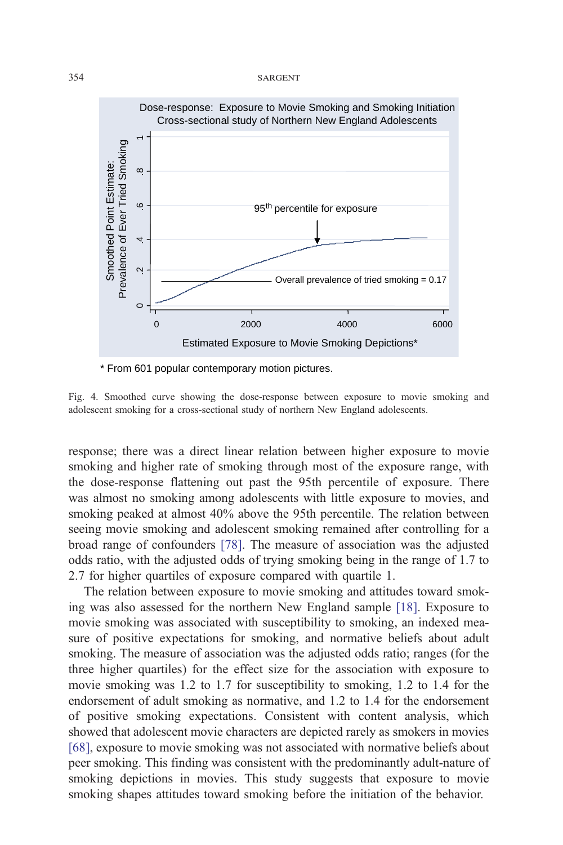<span id="page-9-0"></span>

Fig. 4. Smoothed curve showing the dose-response between exposure to movie smoking and adolescent smoking for a cross-sectional study of northern New England adolescents.

response; there was a direct linear relation between higher exposure to movie smoking and higher rate of smoking through most of the exposure range, with the dose-response flattening out past the 95th percentile of exposure. There was almost no smoking among adolescents with little exposure to movies, and smoking peaked at almost 40% above the 95th percentile. The relation between seeing movie smoking and adolescent smoking remained after controlling for a broad range of confounders [\[78\].](#page-24-0) The measure of association was the adjusted odds ratio, with the adjusted odds of trying smoking being in the range of 1.7 to 2.7 for higher quartiles of exposure compared with quartile 1.

The relation between exposure to movie smoking and attitudes toward smoking was also assessed for the northern New England sample [\[18\].](#page-21-0) Exposure to movie smoking was associated with susceptibility to smoking, an indexed measure of positive expectations for smoking, and normative beliefs about adult smoking. The measure of association was the adjusted odds ratio; ranges (for the three higher quartiles) for the effect size for the association with exposure to movie smoking was 1.2 to 1.7 for susceptibility to smoking, 1.2 to 1.4 for the endorsement of adult smoking as normative, and 1.2 to 1.4 for the endorsement of positive smoking expectations. Consistent with content analysis, which showed that adolescent movie characters are depicted rarely as smokers in movies [\[68\],](#page-24-0) exposure to movie smoking was not associated with normative beliefs about peer smoking. This finding was consistent with the predominantly adult-nature of smoking depictions in movies. This study suggests that exposure to movie smoking shapes attitudes toward smoking before the initiation of the behavior.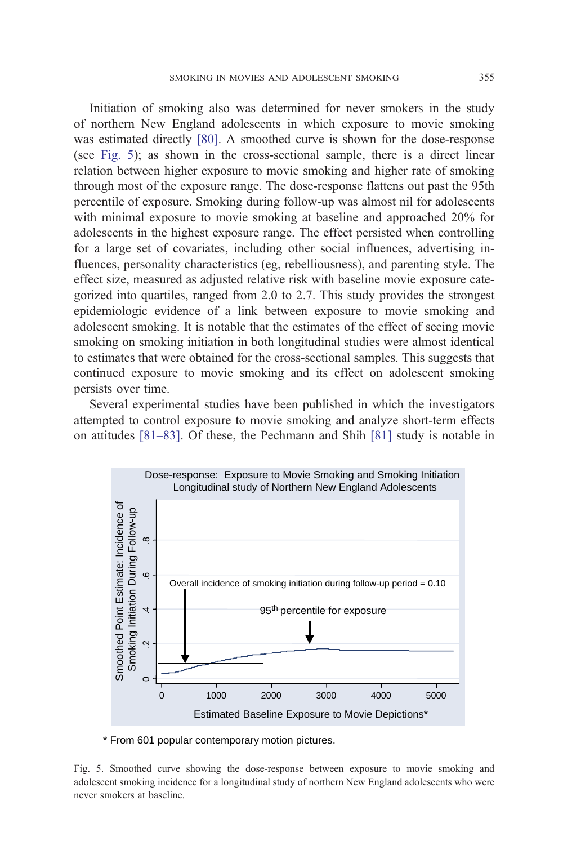Initiation of smoking also was determined for never smokers in the study of northern New England adolescents in which exposure to movie smoking was estimated directly [\[80\].](#page-24-0) A smoothed curve is shown for the dose-response (see Fig. 5); as shown in the cross-sectional sample, there is a direct linear relation between higher exposure to movie smoking and higher rate of smoking through most of the exposure range. The dose-response flattens out past the 95th percentile of exposure. Smoking during follow-up was almost nil for adolescents with minimal exposure to movie smoking at baseline and approached 20% for adolescents in the highest exposure range. The effect persisted when controlling for a large set of covariates, including other social influences, advertising influences, personality characteristics (eg, rebelliousness), and parenting style. The effect size, measured as adjusted relative risk with baseline movie exposure categorized into quartiles, ranged from 2.0 to 2.7. This study provides the strongest epidemiologic evidence of a link between exposure to movie smoking and adolescent smoking. It is notable that the estimates of the effect of seeing movie smoking on smoking initiation in both longitudinal studies were almost identical to estimates that were obtained for the cross-sectional samples. This suggests that continued exposure to movie smoking and its effect on adolescent smoking persists over time.

Several experimental studies have been published in which the investigators attempted to control exposure to movie smoking and analyze short-term effects on attitudes [\[81–83\].](#page-24-0) Of these, the Pechmann and Shih [\[81\]](#page-24-0) study is notable in



\* From 601 popular contemporary motion pictures.

Fig. 5. Smoothed curve showing the dose-response between exposure to movie smoking and adolescent smoking incidence for a longitudinal study of northern New England adolescents who were never smokers at baseline.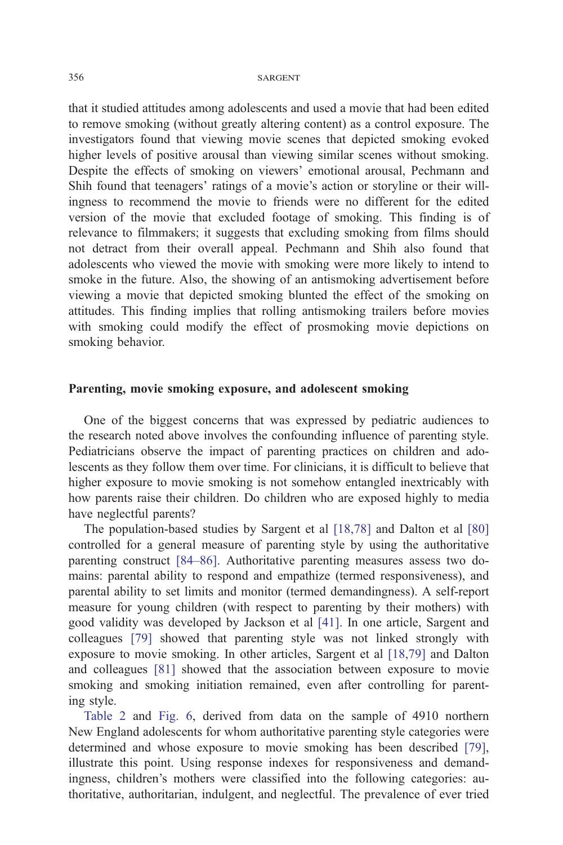that it studied attitudes among adolescents and used a movie that had been edited to remove smoking (without greatly altering content) as a control exposure. The investigators found that viewing movie scenes that depicted smoking evoked higher levels of positive arousal than viewing similar scenes without smoking. Despite the effects of smoking on viewers' emotional arousal, Pechmann and Shih found that teenagers' ratings of a movie's action or storyline or their willingness to recommend the movie to friends were no different for the edited version of the movie that excluded footage of smoking. This finding is of relevance to filmmakers; it suggests that excluding smoking from films should not detract from their overall appeal. Pechmann and Shih also found that adolescents who viewed the movie with smoking were more likely to intend to smoke in the future. Also, the showing of an antismoking advertisement before viewing a movie that depicted smoking blunted the effect of the smoking on attitudes. This finding implies that rolling antismoking trailers before movies with smoking could modify the effect of prosmoking movie depictions on smoking behavior.

### Parenting, movie smoking exposure, and adolescent smoking

One of the biggest concerns that was expressed by pediatric audiences to the research noted above involves the confounding influence of parenting style. Pediatricians observe the impact of parenting practices on children and adolescents as they follow them over time. For clinicians, it is difficult to believe that higher exposure to movie smoking is not somehow entangled inextricably with how parents raise their children. Do children who are exposed highly to media have neglectful parents?

The population-based studies by Sargent et al [\[18,78\]](#page-21-0) and Dalton et al [\[80\]](#page-24-0) controlled for a general measure of parenting style by using the authoritative parenting construct [\[84–86\].](#page-24-0) Authoritative parenting measures assess two domains: parental ability to respond and empathize (termed responsiveness), and parental ability to set limits and monitor (termed demandingness). A self-report measure for young children (with respect to parenting by their mothers) with good validity was developed by Jackson et al [\[41\].](#page-22-0) In one article, Sargent and colleagues [\[79\]](#page-24-0) showed that parenting style was not linked strongly with exposure to movie smoking. In other articles, Sargent et al [\[18,79\]](#page-21-0) and Dalton and colleagues [\[81\]](#page-24-0) showed that the association between exposure to movie smoking and smoking initiation remained, even after controlling for parenting style.

[Table 2](#page-12-0) and [Fig. 6,](#page-12-0) derived from data on the sample of 4910 northern New England adolescents for whom authoritative parenting style categories were determined and whose exposure to movie smoking has been described [\[79\],](#page-24-0) illustrate this point. Using response indexes for responsiveness and demandingness, children's mothers were classified into the following categories: authoritative, authoritarian, indulgent, and neglectful. The prevalence of ever tried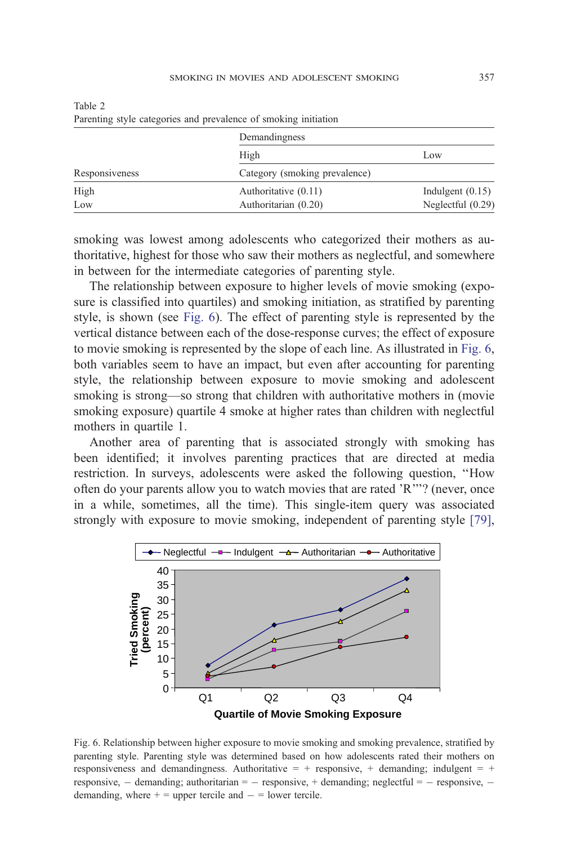|                | Demandingness                 |                    |  |
|----------------|-------------------------------|--------------------|--|
|                | High                          | Low                |  |
| Responsiveness | Category (smoking prevalence) |                    |  |
| High           | Authoritative (0.11)          | Indulgent $(0.15)$ |  |
| Low            | Authoritarian (0.20)          | Neglectful (0.29)  |  |

<span id="page-12-0"></span>Table 2 Parenting style categories and prevalence of smoking initiation

smoking was lowest among adolescents who categorized their mothers as authoritative, highest for those who saw their mothers as neglectful, and somewhere in between for the intermediate categories of parenting style.

The relationship between exposure to higher levels of movie smoking (exposure is classified into quartiles) and smoking initiation, as stratified by parenting style, is shown (see Fig. 6). The effect of parenting style is represented by the vertical distance between each of the dose-response curves; the effect of exposure to movie smoking is represented by the slope of each line. As illustrated in Fig. 6, both variables seem to have an impact, but even after accounting for parenting style, the relationship between exposure to movie smoking and adolescent smoking is strong—so strong that children with authoritative mothers in (movie smoking exposure) quartile 4 smoke at higher rates than children with neglectful mothers in quartile 1.

Another area of parenting that is associated strongly with smoking has been identified; it involves parenting practices that are directed at media restriction. In surveys, adolescents were asked the following question, ''How often do your parents allow you to watch movies that are rated 'R'''? (never, once in a while, sometimes, all the time). This single-item query was associated strongly with exposure to movie smoking, independent of parenting style [\[79\],](#page-24-0)



Fig. 6. Relationship between higher exposure to movie smoking and smoking prevalence, stratified by parenting style. Parenting style was determined based on how adolescents rated their mothers on responsiveness and demandingness. Authoritative  $= +$  responsive,  $+$  demanding; indulgent  $= +$ responsive,  $-$  demanding; authoritarian  $=$   $-$  responsive,  $+$  demanding; neglectful  $=$   $-$  responsive,  $$ demanding, where  $+$  = upper tercile and  $-$  = lower tercile.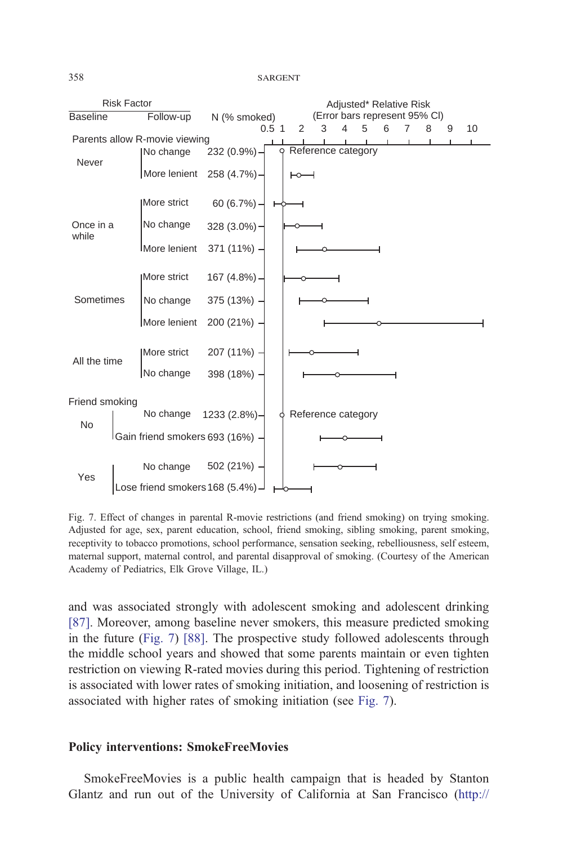

Fig. 7. Effect of changes in parental R-movie restrictions (and friend smoking) on trying smoking. Adjusted for age, sex, parent education, school, friend smoking, sibling smoking, parent smoking, receptivity to tobacco promotions, school performance, sensation seeking, rebelliousness, self esteem, maternal support, maternal control, and parental disapproval of smoking. (Courtesy of the American Academy of Pediatrics, Elk Grove Village, IL.)

and was associated strongly with adolescent smoking and adolescent drinking [\[87\].](#page-24-0) Moreover, among baseline never smokers, this measure predicted smoking in the future (Fig. 7) [\[88\].](#page-24-0) The prospective study followed adolescents through the middle school years and showed that some parents maintain or even tighten restriction on viewing R-rated movies during this period. Tightening of restriction is associated with lower rates of smoking initiation, and loosening of restriction is associated with higher rates of smoking initiation (see [Fig. 7\)](#page-12-0).

### Policy interventions: SmokeFreeMovies

SmokeFreeMovies is a public health campaign that is headed by Stanton Glantz and run out of the University of California at San Francisco (http://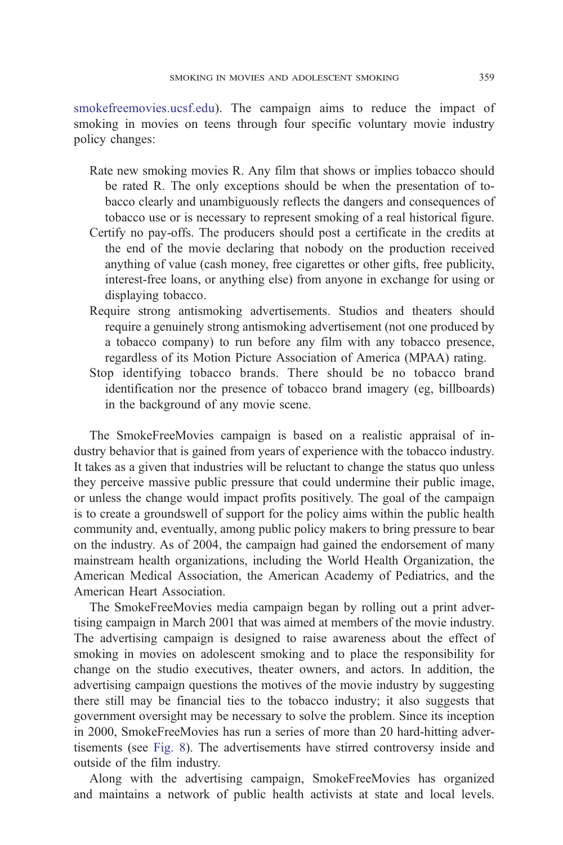[smok]( http:\\www.smokefreemovies.ucsf.edu )efreemovies.ucsf.edu). The campaign aims to reduce the impact of smoking in movies on teens through four specific voluntary movie industry policy changes:

- Rate new smoking movies R. Any film that shows or implies tobacco should be rated R. The only exceptions should be when the presentation of tobacco clearly and unambiguously reflects the dangers and consequences of tobacco use or is necessary to represent smoking of a real historical figure.
- Certify no pay-offs. The producers should post a certificate in the credits at the end of the movie declaring that nobody on the production received anything of value (cash money, free cigarettes or other gifts, free publicity, interest-free loans, or anything else) from anyone in exchange for using or displaying tobacco.
- Require strong antismoking advertisements. Studios and theaters should require a genuinely strong antismoking advertisement (not one produced by a tobacco company) to run before any film with any tobacco presence, regardless of its Motion Picture Association of America (MPAA) rating.
- Stop identifying tobacco brands. There should be no tobacco brand identification nor the presence of tobacco brand imagery (eg, billboards) in the background of any movie scene.

The SmokeFreeMovies campaign is based on a realistic appraisal of industry behavior that is gained from years of experience with the tobacco industry. It takes as a given that industries will be reluctant to change the status quo unless they perceive massive public pressure that could undermine their public image, or unless the change would impact profits positively. The goal of the campaign is to create a groundswell of support for the policy aims within the public health community and, eventually, among public policy makers to bring pressure to bear on the industry. As of 2004, the campaign had gained the endorsement of many mainstream health organizations, including the World Health Organization, the American Medical Association, the American Academy of Pediatrics, and the American Heart Association.

The SmokeFreeMovies media campaign began by rolling out a print advertising campaign in March 2001 that was aimed at members of the movie industry. The advertising campaign is designed to raise awareness about the effect of smoking in movies on adolescent smoking and to place the responsibility for change on the studio executives, theater owners, and actors. In addition, the advertising campaign questions the motives of the movie industry by suggesting there still may be financial ties to the tobacco industry; it also suggests that government oversight may be necessary to solve the problem. Since its inception in 2000, SmokeFreeMovies has run a series of more than 20 hard-hitting advertisements (see [Fig. 8\)](#page-15-0). The advertisements have stirred controversy inside and outside of the film industry.

Along with the advertising campaign, SmokeFreeMovies has organized and maintains a network of public health activists at state and local levels.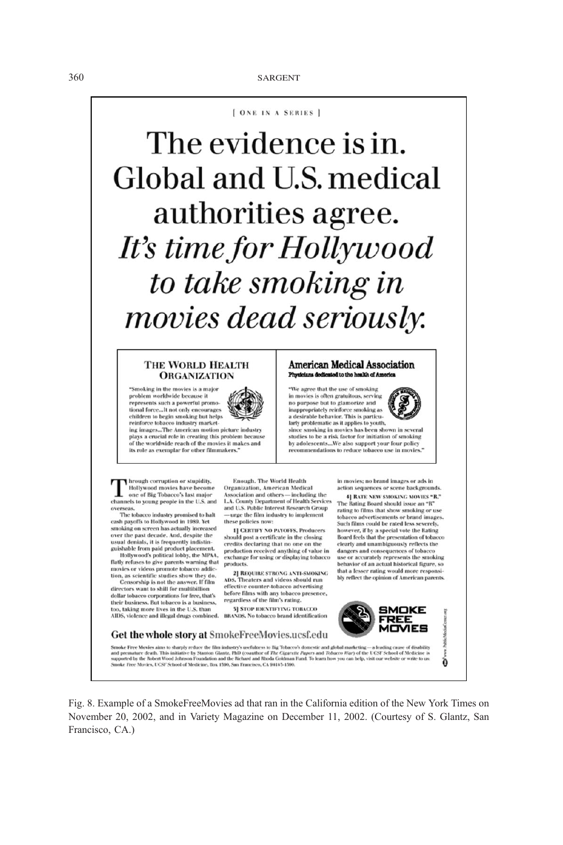[ ONE IN A SERIES ]

The evidence is in. Global and U.S. medical authorities agree. It's time for Hollywood to take smoking in movies dead seriously.

#### THE WORLD HEALTH **ORGANIZATION**

"Smoking in the movies is a major problem worldwide becau represents such a powerful promotional force...lt not only encourages children to begin smoking but helps reinforce tobacco industry market-

ing images...The American motion picture industry<br>plays a crucial role in creating this problem becaus of the worldwide reach of the movies it makes and its role as exemplar for other filmmakers."

### American Medical Association Physicians dedicated to the health of Americ

We agree that the use of smoking in movies is often gratuitous, serving<br>no purpose but to glamorize and inappropriately reinforce smoking as<br>a desirable behavior. This is particularly problematic as it applies to youth,

since smoking in movies has been shown in several<br>studies to be a risk factor for initiation of smoking by adolescents...We also support your four policy<br>recommendations to reduce tobacco use in movies."

I hrough corruption or stupidity, Invough corruption or stupidity,<br>Hollywood movies have become<br>one of Big Tobacco's last major<br>hannels to young people in the U.S. at Hollywood movies have become channels to young people in the U.S. and overseas.

The tobacco industry promised to halt cash payoffs to Hollywood in 1989. Yet smoking on screen has actually increased<br>over the past decade. And, despite the over the pass western that it is frequently indistinguishable from paid product placement.<br>Hollywood's political lobby, the MPAA,

flatly refuses to give parents warning that<br>movies or videos promote tobacco addiction, as scientific studies show they do.

Censorship is not the answer. If film<br>directors want to shill for multibillion dollar tobacco corporations for free, that's<br>their business. But tobacco is a business, too, taking more lives in the U.S. than AIDS, violence and illegal drugs combined.

Enough. The World Health Organization, American Medical Association and others - including the<br>L.A. County Department of Health Services and U.S. Public Interest Research Group urge the film industry to implement these policies now:

1] CERTIFY NO PAYOFFS, Producers should post a certificate in the closing<br>credits declaring that no one on the production received anything of value in<br>exchange for using or displaying tobacco products.

2] REQUIRE STRONG ANTI-SMOKING<br>S. Theaters and videos should run ADS. effective counter-tobacco advertising before films with any tobacco presence,<br>regardless of the film's rating.

**5] STOP IDENTIFYING TOBACCO BRANDS**. No tobacco brand identification in movies; no brand images or ads in action sequences or scene backgrounds. 4] RATE NEW SMOKING MOVIES "R."

The Rating Board should issue an  $\mathrm{^{a}R^{a}}$ rating to films that show smoking or use tobacco advertisements or brand images.<br>Such films could be rated less severely, tobac however, if by a special vote the Rating Board feels that the presentation of tobacco clearly and unambiguously reflects the dangers and consequences of tobacco<br>use or accurately represents the smoking behavior of an actual historical figure, so that a lesser rating would more responsi-<br>bly reflect the opinion of American parents.



Get the whole story at SmokeFreeMovies.ucsf.edu

Fig. 8. Example of a SmokeFreeMovies ad that ran in the California edition of the New York Times on November 20, 2002, and in Variety Magazine on December 11, 2002. (Courtesy of S. Glantz, San Francisco, CA.)



Ó



<span id="page-15-0"></span>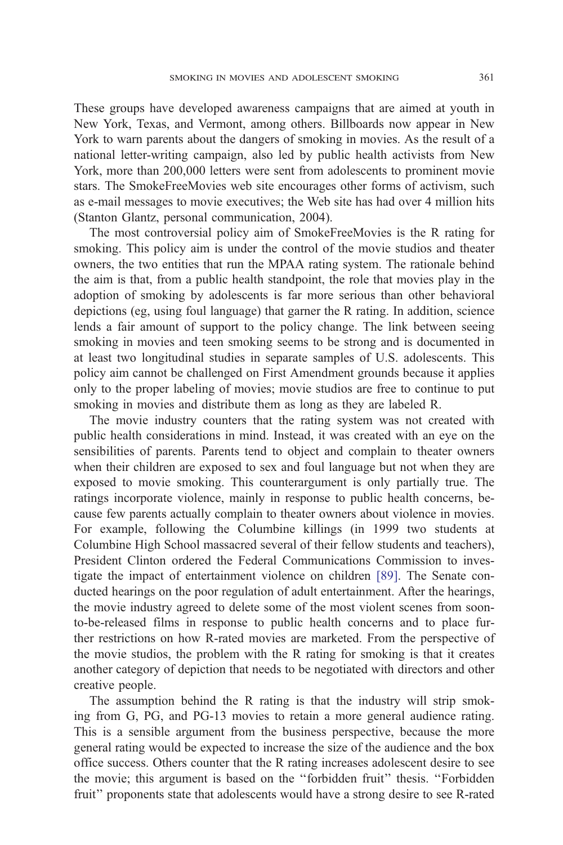These groups have developed awareness campaigns that are aimed at youth in New York, Texas, and Vermont, among others. Billboards now appear in New York to warn parents about the dangers of smoking in movies. As the result of a national letter-writing campaign, also led by public health activists from New York, more than 200,000 letters were sent from adolescents to prominent movie stars. The SmokeFreeMovies web site encourages other forms of activism, such as e-mail messages to movie executives; the Web site has had over 4 million hits (Stanton Glantz, personal communication, 2004).

The most controversial policy aim of SmokeFreeMovies is the R rating for smoking. This policy aim is under the control of the movie studios and theater owners, the two entities that run the MPAA rating system. The rationale behind the aim is that, from a public health standpoint, the role that movies play in the adoption of smoking by adolescents is far more serious than other behavioral depictions (eg, using foul language) that garner the R rating. In addition, science lends a fair amount of support to the policy change. The link between seeing smoking in movies and teen smoking seems to be strong and is documented in at least two longitudinal studies in separate samples of U.S. adolescents. This policy aim cannot be challenged on First Amendment grounds because it applies only to the proper labeling of movies; movie studios are free to continue to put smoking in movies and distribute them as long as they are labeled R.

The movie industry counters that the rating system was not created with public health considerations in mind. Instead, it was created with an eye on the sensibilities of parents. Parents tend to object and complain to theater owners when their children are exposed to sex and foul language but not when they are exposed to movie smoking. This counterargument is only partially true. The ratings incorporate violence, mainly in response to public health concerns, because few parents actually complain to theater owners about violence in movies. For example, following the Columbine killings (in 1999 two students at Columbine High School massacred several of their fellow students and teachers), President Clinton ordered the Federal Communications Commission to investigate the impact of entertainment violence on children [\[89\].](#page-24-0) The Senate conducted hearings on the poor regulation of adult entertainment. After the hearings, the movie industry agreed to delete some of the most violent scenes from soonto-be-released films in response to public health concerns and to place further restrictions on how R-rated movies are marketed. From the perspective of the movie studios, the problem with the R rating for smoking is that it creates another category of depiction that needs to be negotiated with directors and other creative people.

The assumption behind the R rating is that the industry will strip smoking from G, PG, and PG-13 movies to retain a more general audience rating. This is a sensible argument from the business perspective, because the more general rating would be expected to increase the size of the audience and the box office success. Others counter that the R rating increases adolescent desire to see the movie; this argument is based on the ''forbidden fruit'' thesis. ''Forbidden fruit'' proponents state that adolescents would have a strong desire to see R-rated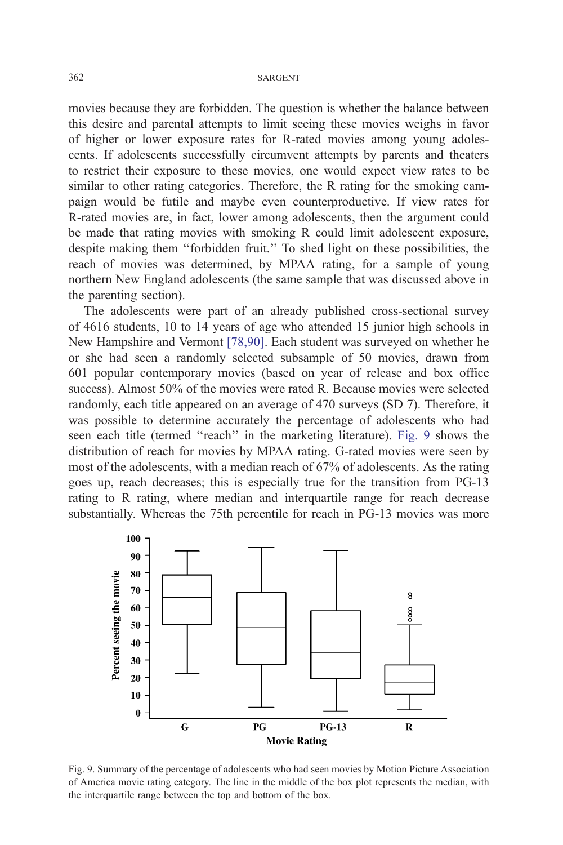movies because they are forbidden. The question is whether the balance between this desire and parental attempts to limit seeing these movies weighs in favor of higher or lower exposure rates for R-rated movies among young adolescents. If adolescents successfully circumvent attempts by parents and theaters to restrict their exposure to these movies, one would expect view rates to be similar to other rating categories. Therefore, the R rating for the smoking campaign would be futile and maybe even counterproductive. If view rates for R-rated movies are, in fact, lower among adolescents, then the argument could be made that rating movies with smoking R could limit adolescent exposure, despite making them ''forbidden fruit.'' To shed light on these possibilities, the reach of movies was determined, by MPAA rating, for a sample of young northern New England adolescents (the same sample that was discussed above in the parenting section).

The adolescents were part of an already published cross-sectional survey of 4616 students, 10 to 14 years of age who attended 15 junior high schools in New Hampshire and Vermont [\[78,90\].](#page-24-0) Each student was surveyed on whether he or she had seen a randomly selected subsample of 50 movies, drawn from 601 popular contemporary movies (based on year of release and box office success). Almost 50% of the movies were rated R. Because movies were selected randomly, each title appeared on an average of 470 surveys (SD 7). Therefore, it was possible to determine accurately the percentage of adolescents who had seen each title (termed "reach" in the marketing literature). Fig. 9 shows the distribution of reach for movies by MPAA rating. G-rated movies were seen by most of the adolescents, with a median reach of 67% of adolescents. As the rating goes up, reach decreases; this is especially true for the transition from PG-13 rating to R rating, where median and interquartile range for reach decrease substantially. Whereas the 75th percentile for reach in PG-13 movies was more



Fig. 9. Summary of the percentage of adolescents who had seen movies by Motion Picture Association of America movie rating category. The line in the middle of the box plot represents the median, with the interquartile range between the top and bottom of the box.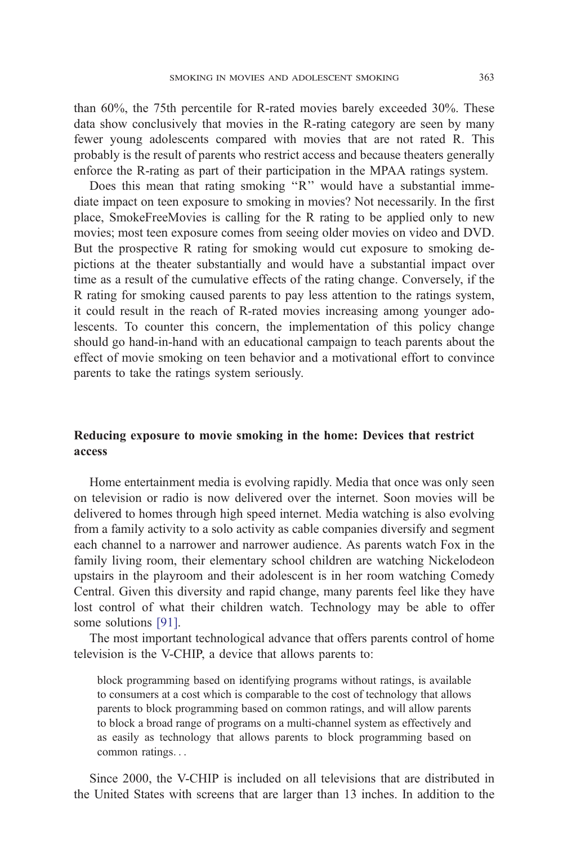than 60%, the 75th percentile for R-rated movies barely exceeded 30%. These data show conclusively that movies in the R-rating category are seen by many fewer young adolescents compared with movies that are not rated R. This probably is the result of parents who restrict access and because theaters generally enforce the R-rating as part of their participation in the MPAA ratings system.

Does this mean that rating smoking "R" would have a substantial immediate impact on teen exposure to smoking in movies? Not necessarily. In the first place, SmokeFreeMovies is calling for the R rating to be applied only to new movies; most teen exposure comes from seeing older movies on video and DVD. But the prospective R rating for smoking would cut exposure to smoking depictions at the theater substantially and would have a substantial impact over time as a result of the cumulative effects of the rating change. Conversely, if the R rating for smoking caused parents to pay less attention to the ratings system, it could result in the reach of R-rated movies increasing among younger adolescents. To counter this concern, the implementation of this policy change should go hand-in-hand with an educational campaign to teach parents about the effect of movie smoking on teen behavior and a motivational effort to convince parents to take the ratings system seriously.

### Reducing exposure to movie smoking in the home: Devices that restrict access

Home entertainment media is evolving rapidly. Media that once was only seen on television or radio is now delivered over the internet. Soon movies will be delivered to homes through high speed internet. Media watching is also evolving from a family activity to a solo activity as cable companies diversify and segment each channel to a narrower and narrower audience. As parents watch Fox in the family living room, their elementary school children are watching Nickelodeon upstairs in the playroom and their adolescent is in her room watching Comedy Central. Given this diversity and rapid change, many parents feel like they have lost control of what their children watch. Technology may be able to offer some solutions [\[91\].](#page-24-0)

The most important technological advance that offers parents control of home television is the V-CHIP, a device that allows parents to:

block programming based on identifying programs without ratings, is available to consumers at a cost which is comparable to the cost of technology that allows parents to block programming based on common ratings, and will allow parents to block a broad range of programs on a multi-channel system as effectively and as easily as technology that allows parents to block programming based on common ratings...

Since 2000, the V-CHIP is included on all televisions that are distributed in the United States with screens that are larger than 13 inches. In addition to the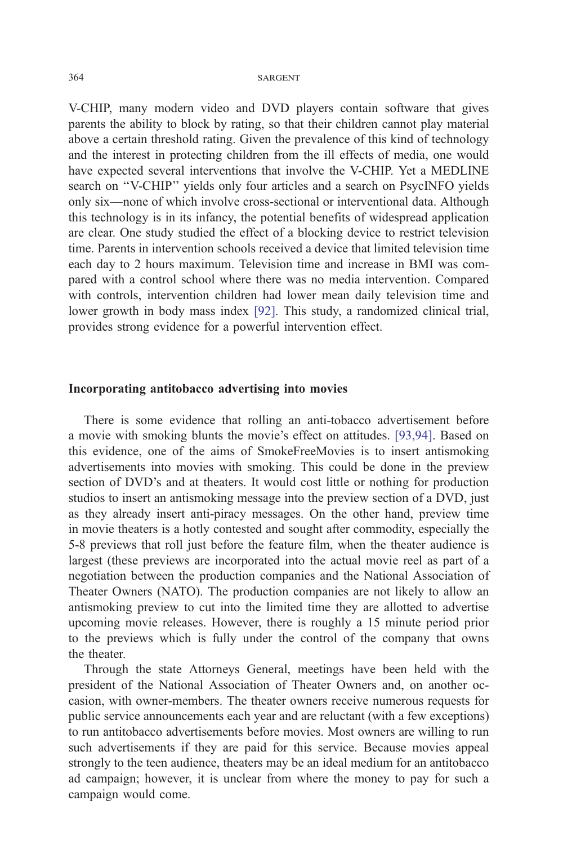V-CHIP, many modern video and DVD players contain software that gives parents the ability to block by rating, so that their children cannot play material above a certain threshold rating. Given the prevalence of this kind of technology and the interest in protecting children from the ill effects of media, one would have expected several interventions that involve the V-CHIP. Yet a MEDLINE search on ''V-CHIP'' yields only four articles and a search on PsycINFO yields only six—none of which involve cross-sectional or interventional data. Although this technology is in its infancy, the potential benefits of widespread application are clear. One study studied the effect of a blocking device to restrict television time. Parents in intervention schools received a device that limited television time each day to 2 hours maximum. Television time and increase in BMI was compared with a control school where there was no media intervention. Compared with controls, intervention children had lower mean daily television time and lower growth in body mass index [\[92\].](#page-24-0) This study, a randomized clinical trial, provides strong evidence for a powerful intervention effect.

### Incorporating antitobacco advertising into movies

There is some evidence that rolling an anti-tobacco advertisement before a movie with smoking blunts the movie's effect on attitudes. [\[93,94\].](#page-25-0) Based on this evidence, one of the aims of SmokeFreeMovies is to insert antismoking advertisements into movies with smoking. This could be done in the preview section of DVD's and at theaters. It would cost little or nothing for production studios to insert an antismoking message into the preview section of a DVD, just as they already insert anti-piracy messages. On the other hand, preview time in movie theaters is a hotly contested and sought after commodity, especially the 5-8 previews that roll just before the feature film, when the theater audience is largest (these previews are incorporated into the actual movie reel as part of a negotiation between the production companies and the National Association of Theater Owners (NATO). The production companies are not likely to allow an antismoking preview to cut into the limited time they are allotted to advertise upcoming movie releases. However, there is roughly a 15 minute period prior to the previews which is fully under the control of the company that owns the theater.

Through the state Attorneys General, meetings have been held with the president of the National Association of Theater Owners and, on another occasion, with owner-members. The theater owners receive numerous requests for public service announcements each year and are reluctant (with a few exceptions) to run antitobacco advertisements before movies. Most owners are willing to run such advertisements if they are paid for this service. Because movies appeal strongly to the teen audience, theaters may be an ideal medium for an antitobacco ad campaign; however, it is unclear from where the money to pay for such a campaign would come.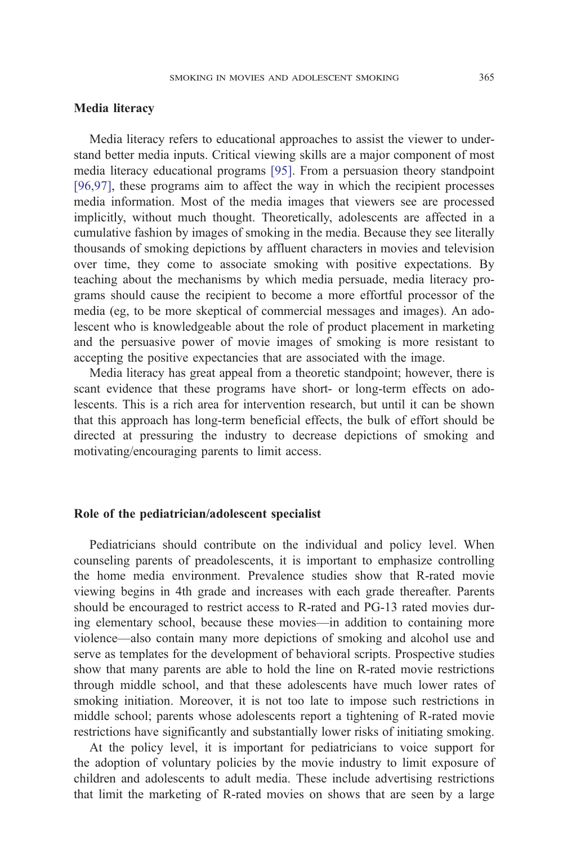### Media literacy

Media literacy refers to educational approaches to assist the viewer to understand better media inputs. Critical viewing skills are a major component of most media literacy educational programs [\[95\].](#page-25-0) From a persuasion theory standpoint [\[96,97\],](#page-25-0) these programs aim to affect the way in which the recipient processes media information. Most of the media images that viewers see are processed implicitly, without much thought. Theoretically, adolescents are affected in a cumulative fashion by images of smoking in the media. Because they see literally thousands of smoking depictions by affluent characters in movies and television over time, they come to associate smoking with positive expectations. By teaching about the mechanisms by which media persuade, media literacy programs should cause the recipient to become a more effortful processor of the media (eg, to be more skeptical of commercial messages and images). An adolescent who is knowledgeable about the role of product placement in marketing and the persuasive power of movie images of smoking is more resistant to accepting the positive expectancies that are associated with the image.

Media literacy has great appeal from a theoretic standpoint; however, there is scant evidence that these programs have short- or long-term effects on adolescents. This is a rich area for intervention research, but until it can be shown that this approach has long-term beneficial effects, the bulk of effort should be directed at pressuring the industry to decrease depictions of smoking and motivating/encouraging parents to limit access.

### Role of the pediatrician/adolescent specialist

Pediatricians should contribute on the individual and policy level. When counseling parents of preadolescents, it is important to emphasize controlling the home media environment. Prevalence studies show that R-rated movie viewing begins in 4th grade and increases with each grade thereafter. Parents should be encouraged to restrict access to R-rated and PG-13 rated movies during elementary school, because these movies—in addition to containing more violence—also contain many more depictions of smoking and alcohol use and serve as templates for the development of behavioral scripts. Prospective studies show that many parents are able to hold the line on R-rated movie restrictions through middle school, and that these adolescents have much lower rates of smoking initiation. Moreover, it is not too late to impose such restrictions in middle school; parents whose adolescents report a tightening of R-rated movie restrictions have significantly and substantially lower risks of initiating smoking.

At the policy level, it is important for pediatricians to voice support for the adoption of voluntary policies by the movie industry to limit exposure of children and adolescents to adult media. These include advertising restrictions that limit the marketing of R-rated movies on shows that are seen by a large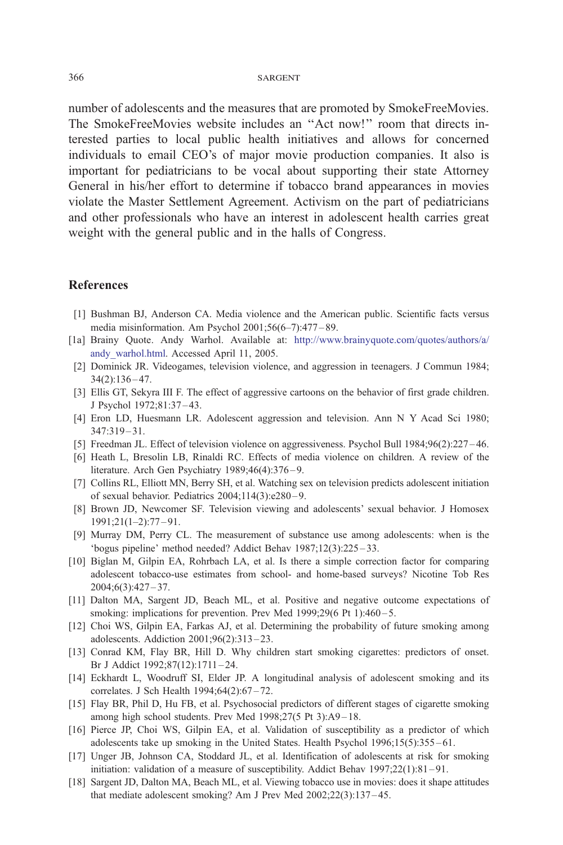<span id="page-21-0"></span>number of adolescents and the measures that are promoted by SmokeFreeMovies. The SmokeFreeMovies website includes an ''Act now!'' room that directs interested parties to local public health initiatives and allows for concerned individuals to email CEO's of major movie production companies. It also is important for pediatricians to be vocal about supporting their state Attorney General in his/her effort to determine if tobacco brand appearances in movies violate the Master Settlement Agreement. Activism on the part of pediatricians and other professionals who have an interest in adolescent health carries great weight with the general public and in the halls of Congress.

### References

- [1] Bushman BJ, Anderson CA. Media violence and the American public. Scientific facts versus media misinformation. Am Psychol 2001;56(6–7):477 – 89.
- [1a] Brainy Quote. Andy Warhol. Available at: [http://www.brainyquote.com/quotes/authors/a/]( http:\\www.brainyquote.com\quotes\authors\a\andy_warhol.html ) andy\_warhol.html. Accessed April 11, 2005.
	- [2] Dominick JR. Videogames, television violence, and aggression in teenagers. J Commun 1984;  $34(2):136 - 47.$
	- [3] Ellis GT, Sekyra III F. The effect of aggressive cartoons on the behavior of first grade children. J Psychol 1972;81:37 – 43.
	- [4] Eron LD, Huesmann LR. Adolescent aggression and television. Ann N Y Acad Sci 1980;  $347:319 - 31.$
	- [5] Freedman JL. Effect of television violence on aggressiveness. Psychol Bull 1984;96(2):227 46.
	- [6] Heath L, Bresolin LB, Rinaldi RC. Effects of media violence on children. A review of the literature. Arch Gen Psychiatry 1989;46(4):376-9.
	- [7] Collins RL, Elliott MN, Berry SH, et al. Watching sex on television predicts adolescent initiation of sexual behavior. Pediatrics 2004;114(3):e280 – 9.
	- [8] Brown JD, Newcomer SF. Television viewing and adolescents' sexual behavior. J Homosex 1991;21(1–2):77 – 91.
- [9] Murray DM, Perry CL. The measurement of substance use among adolescents: when is the 'bogus pipeline' method needed? Addict Behav  $1987;12(3):225-33$ .
- [10] Biglan M, Gilpin EA, Rohrbach LA, et al. Is there a simple correction factor for comparing adolescent tobacco-use estimates from school- and home-based surveys? Nicotine Tob Res  $2004;6(3):427 - 37.$
- [11] Dalton MA, Sargent JD, Beach ML, et al. Positive and negative outcome expectations of smoking: implications for prevention. Prev Med 1999;29(6 Pt 1):460-5.
- [12] Choi WS, Gilpin EA, Farkas AJ, et al. Determining the probability of future smoking among adolescents. Addiction 2001;96(2):313 – 23.
- [13] Conrad KM, Flay BR, Hill D. Why children start smoking cigarettes: predictors of onset. Br J Addict 1992;87(12):1711 – 24.
- [14] Eckhardt L, Woodruff SI, Elder JP. A longitudinal analysis of adolescent smoking and its correlates. J Sch Health 1994;64(2):67-72.
- [15] Flay BR, Phil D, Hu FB, et al. Psychosocial predictors of different stages of cigarette smoking among high school students. Prev Med 1998;27(5 Pt 3):A9 – 18.
- [16] Pierce JP, Choi WS, Gilpin EA, et al. Validation of susceptibility as a predictor of which adolescents take up smoking in the United States. Health Psychol  $1996;15(5):355-61$ .
- [17] Unger JB, Johnson CA, Stoddard JL, et al. Identification of adolescents at risk for smoking initiation: validation of a measure of susceptibility. Addict Behav 1997;22(1):81-91.
- [18] Sargent JD, Dalton MA, Beach ML, et al. Viewing tobacco use in movies: does it shape attitudes that mediate adolescent smoking? Am J Prev Med 2002;22(3):137 – 45.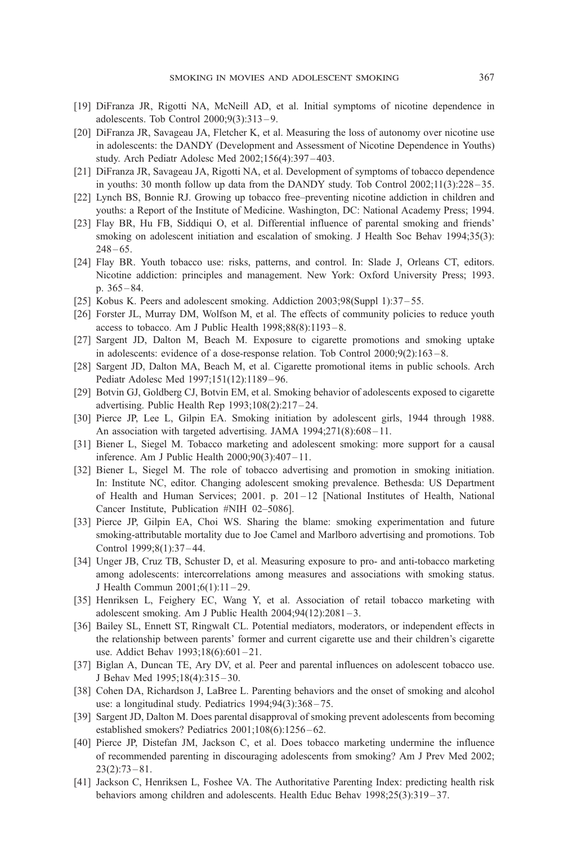- <span id="page-22-0"></span>[19] DiFranza JR, Rigotti NA, McNeill AD, et al. Initial symptoms of nicotine dependence in adolescents. Tob Control 2000;9(3):313 – 9.
- [20] DiFranza JR, Savageau JA, Fletcher K, et al. Measuring the loss of autonomy over nicotine use in adolescents: the DANDY (Development and Assessment of Nicotine Dependence in Youths) study. Arch Pediatr Adolesc Med 2002;156(4):397 – 403.
- [21] DiFranza JR, Savageau JA, Rigotti NA, et al. Development of symptoms of tobacco dependence in youths: 30 month follow up data from the DANDY study. Tob Control  $2002;11(3):228-35$ .
- [22] Lynch BS, Bonnie RJ. Growing up tobacco free–preventing nicotine addiction in children and youths: a Report of the Institute of Medicine. Washington, DC: National Academy Press; 1994.
- [23] Flay BR, Hu FB, Siddiqui O, et al. Differential influence of parental smoking and friends' smoking on adolescent initiation and escalation of smoking. J Health Soc Behav 1994;35(3):  $248 - 65.$
- [24] Flay BR. Youth tobacco use: risks, patterns, and control. In: Slade J, Orleans CT, editors. Nicotine addiction: principles and management. New York: Oxford University Press; 1993. p. 365 – 84.
- [25] Kobus K. Peers and adolescent smoking. Addiction 2003;98(Suppl 1):37 55.
- [26] Forster JL, Murray DM, Wolfson M, et al. The effects of community policies to reduce youth access to tobacco. Am J Public Health  $1998;88(8):1193-8$ .
- [27] Sargent JD, Dalton M, Beach M. Exposure to cigarette promotions and smoking uptake in adolescents: evidence of a dose-response relation. Tob Control 2000;9(2):163 – 8.
- [28] Sargent JD, Dalton MA, Beach M, et al. Cigarette promotional items in public schools. Arch Pediatr Adolesc Med 1997;151(12):1189 – 96.
- [29] Botvin GJ, Goldberg CJ, Botvin EM, et al. Smoking behavior of adolescents exposed to cigarette advertising. Public Health Rep 1993;108(2):217 – 24.
- [30] Pierce JP, Lee L, Gilpin EA. Smoking initiation by adolescent girls, 1944 through 1988. An association with targeted advertising. JAMA 1994;271(8):608-11.
- [31] Biener L, Siegel M. Tobacco marketing and adolescent smoking: more support for a causal inference. Am J Public Health 2000;90(3):407 – 11.
- [32] Biener L, Siegel M. The role of tobacco advertising and promotion in smoking initiation. In: Institute NC, editor. Changing adolescent smoking prevalence. Bethesda: US Department of Health and Human Services; 2001. p. 201 – 12 [National Institutes of Health, National Cancer Institute, Publication #NIH 02–5086].
- [33] Pierce JP, Gilpin EA, Choi WS. Sharing the blame: smoking experimentation and future smoking-attributable mortality due to Joe Camel and Marlboro advertising and promotions. Tob Control 1999;8(1):37 – 44.
- [34] Unger JB, Cruz TB, Schuster D, et al. Measuring exposure to pro- and anti-tobacco marketing among adolescents: intercorrelations among measures and associations with smoking status. J Health Commun 2001;6(1):11 – 29.
- [35] Henriksen L, Feighery EC, Wang Y, et al. Association of retail tobacco marketing with adolescent smoking. Am J Public Health 2004;94(12):2081 – 3.
- [36] Bailey SL, Ennett ST, Ringwalt CL. Potential mediators, moderators, or independent effects in the relationship between parents' former and current cigarette use and their children's cigarette use. Addict Behav 1993;18(6):601-21.
- [37] Biglan A, Duncan TE, Ary DV, et al. Peer and parental influences on adolescent tobacco use. J Behav Med 1995;18(4):315 – 30.
- [38] Cohen DA, Richardson J, LaBree L. Parenting behaviors and the onset of smoking and alcohol use: a longitudinal study. Pediatrics 1994;94(3):368 – 75.
- [39] Sargent JD, Dalton M. Does parental disapproval of smoking prevent adolescents from becoming established smokers? Pediatrics 2001;108(6):1256 – 62.
- [40] Pierce JP, Distefan JM, Jackson C, et al. Does tobacco marketing undermine the influence of recommended parenting in discouraging adolescents from smoking? Am J Prev Med 2002;  $23(2):73 - 81.$
- [41] Jackson C, Henriksen L, Foshee VA. The Authoritative Parenting Index: predicting health risk behaviors among children and adolescents. Health Educ Behav 1998;25(3):319–37.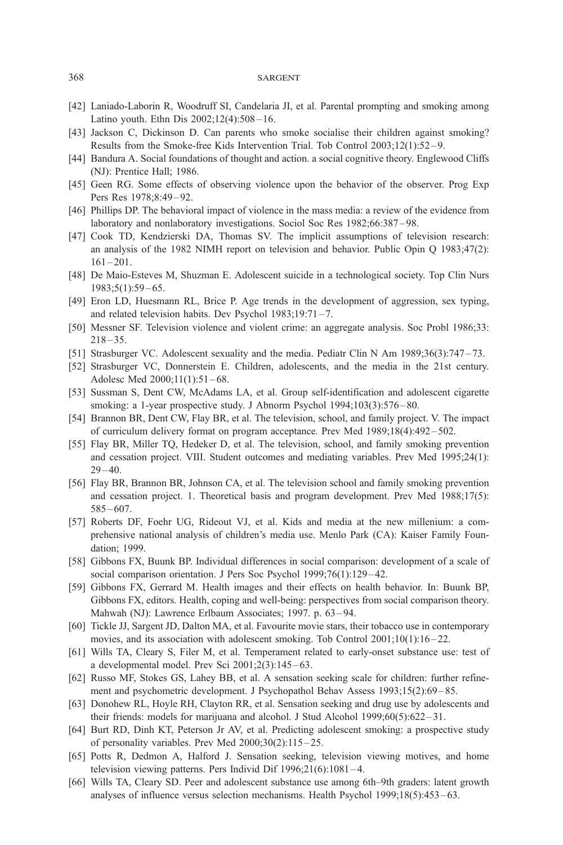- <span id="page-23-0"></span>[42] Laniado-Laborin R, Woodruff SI, Candelaria JI, et al. Parental prompting and smoking among Latino youth. Ethn Dis 2002;12(4):508 – 16.
- [43] Jackson C, Dickinson D. Can parents who smoke socialise their children against smoking? Results from the Smoke-free Kids Intervention Trial. Tob Control 2003;12(1):52 – 9.
- [44] Bandura A. Social foundations of thought and action. a social cognitive theory. Englewood Cliffs (NJ): Prentice Hall; 1986.
- [45] Geen RG. Some effects of observing violence upon the behavior of the observer. Prog Exp Pers Res 1978;8:49-92.
- [46] Phillips DP. The behavioral impact of violence in the mass media: a review of the evidence from laboratory and nonlaboratory investigations. Sociol Soc Res 1982;66:387 – 98.
- [47] Cook TD, Kendzierski DA, Thomas SV. The implicit assumptions of television research: an analysis of the 1982 NIMH report on television and behavior. Public Opin Q 1983;47(2):  $161 - 201$ .
- [48] De Maio-Esteves M, Shuzman E. Adolescent suicide in a technological society. Top Clin Nurs  $1983;5(1):59-65.$
- [49] Eron LD, Huesmann RL, Brice P. Age trends in the development of aggression, sex typing, and related television habits. Dev Psychol 1983;19:71 – 7.
- [50] Messner SF. Television violence and violent crime: an aggregate analysis. Soc Probl 1986;33:  $218 - 35.$
- [51] Strasburger VC. Adolescent sexuality and the media. Pediatr Clin N Am 1989;36(3):747 73.
- [52] Strasburger VC, Donnerstein E. Children, adolescents, and the media in the 21st century. Adolesc Med 2000;11(1):51-68.
- [53] Sussman S, Dent CW, McAdams LA, et al. Group self-identification and adolescent cigarette smoking: a 1-year prospective study. J Abnorm Psychol 1994;103(3):576–80.
- [54] Brannon BR, Dent CW, Flay BR, et al. The television, school, and family project. V. The impact of curriculum delivery format on program acceptance. Prev Med 1989;18(4):492 – 502.
- [55] Flay BR, Miller TQ, Hedeker D, et al. The television, school, and family smoking prevention and cessation project. VIII. Student outcomes and mediating variables. Prev Med 1995;24(1):  $29 - 40.$
- [56] Flay BR, Brannon BR, Johnson CA, et al. The television school and family smoking prevention and cessation project. 1. Theoretical basis and program development. Prev Med 1988;17(5):  $585 - 607$ .
- [57] Roberts DF, Foehr UG, Rideout VJ, et al. Kids and media at the new millenium: a comprehensive national analysis of children's media use. Menlo Park (CA): Kaiser Family Foundation; 1999.
- [58] Gibbons FX, Buunk BP. Individual differences in social comparison: development of a scale of social comparison orientation. J Pers Soc Psychol 1999;76(1):129-42.
- [59] Gibbons FX, Gerrard M. Health images and their effects on health behavior. In: Buunk BP, Gibbons FX, editors. Health, coping and well-being: perspectives from social comparison theory. Mahwah (NJ): Lawrence Erlbaum Associates; 1997. p. 63-94.
- [60] Tickle JJ, Sargent JD, Dalton MA, et al. Favourite movie stars, their tobacco use in contemporary movies, and its association with adolescent smoking. Tob Control  $2001;10(1):16-22$ .
- [61] Wills TA, Cleary S, Filer M, et al. Temperament related to early-onset substance use: test of a developmental model. Prev Sci  $2001;2(3):145-63$ .
- [62] Russo MF, Stokes GS, Lahey BB, et al. A sensation seeking scale for children: further refinement and psychometric development. J Psychopathol Behav Assess 1993;15(2):69 – 85.
- [63] Donohew RL, Hoyle RH, Clayton RR, et al. Sensation seeking and drug use by adolescents and their friends: models for marijuana and alcohol. J Stud Alcohol 1999;60(5):622 – 31.
- [64] Burt RD, Dinh KT, Peterson Jr AV, et al. Predicting adolescent smoking: a prospective study of personality variables. Prev Med 2000;30(2):115 – 25.
- [65] Potts R, Dedmon A, Halford J. Sensation seeking, television viewing motives, and home television viewing patterns. Pers Individ Dif  $1996;21(6):1081-4$ .
- [66] Wills TA, Cleary SD. Peer and adolescent substance use among 6th–9th graders: latent growth analyses of influence versus selection mechanisms. Health Psychol 1999;18(5):453 – 63.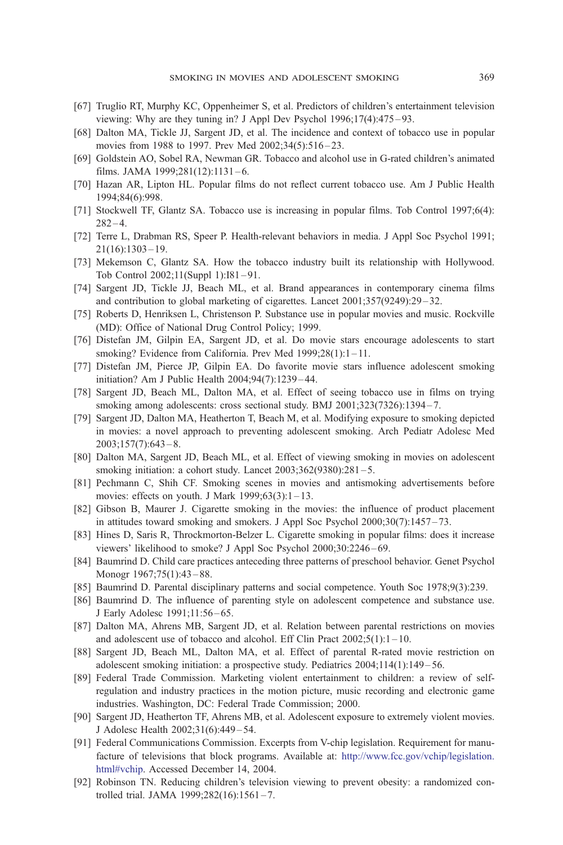- <span id="page-24-0"></span>[67] Truglio RT, Murphy KC, Oppenheimer S, et al. Predictors of children's entertainment television viewing: Why are they tuning in? J Appl Dev Psychol 1996;17(4):475 – 93.
- [68] Dalton MA, Tickle JJ, Sargent JD, et al. The incidence and context of tobacco use in popular movies from 1988 to 1997. Prev Med 2002;34(5):516-23.
- [69] Goldstein AO, Sobel RA, Newman GR. Tobacco and alcohol use in G-rated children's animated films. JAMA 1999;281(12):1131-6.
- [70] Hazan AR, Lipton HL. Popular films do not reflect current tobacco use. Am J Public Health 1994;84(6):998.
- [71] Stockwell TF, Glantz SA. Tobacco use is increasing in popular films. Tob Control 1997;6(4):  $282 - 4.$
- [72] Terre L, Drabman RS, Speer P. Health-relevant behaviors in media. J Appl Soc Psychol 1991;  $21(16):1303 - 19.$
- [73] Mekemson C, Glantz SA. How the tobacco industry built its relationship with Hollywood. Tob Control 2002;11(Suppl 1):I81 – 91.
- [74] Sargent JD, Tickle JJ, Beach ML, et al. Brand appearances in contemporary cinema films and contribution to global marketing of cigarettes. Lancet 2001;357(9249):29 – 32.
- [75] Roberts D, Henriksen L, Christenson P. Substance use in popular movies and music. Rockville (MD): Office of National Drug Control Policy; 1999.
- [76] Distefan JM, Gilpin EA, Sargent JD, et al. Do movie stars encourage adolescents to start smoking? Evidence from California. Prev Med 1999;28(1):1-11.
- [77] Distefan JM, Pierce JP, Gilpin EA. Do favorite movie stars influence adolescent smoking initiation? Am J Public Health 2004;94(7):1239 – 44.
- [78] Sargent JD, Beach ML, Dalton MA, et al. Effect of seeing tobacco use in films on trying smoking among adolescents: cross sectional study. BMJ 2001;323(7326):1394-7.
- [79] Sargent JD, Dalton MA, Heatherton T, Beach M, et al. Modifying exposure to smoking depicted in movies: a novel approach to preventing adolescent smoking. Arch Pediatr Adolesc Med  $2003;157(7):643-8.$
- [80] Dalton MA, Sargent JD, Beach ML, et al. Effect of viewing smoking in movies on adolescent smoking initiation: a cohort study. Lancet 2003;362(9380):281-5.
- [81] Pechmann C, Shih CF. Smoking scenes in movies and antismoking advertisements before movies: effects on youth. J Mark  $1999;63(3):1-13$ .
- [82] Gibson B, Maurer J. Cigarette smoking in the movies: the influence of product placement in attitudes toward smoking and smokers. J Appl Soc Psychol 2000;30(7):1457-73.
- [83] Hines D, Saris R, Throckmorton-Belzer L. Cigarette smoking in popular films: does it increase viewers' likelihood to smoke? J Appl Soc Psychol 2000;30:2246 – 69.
- [84] Baumrind D. Child care practices anteceding three patterns of preschool behavior. Genet Psychol Monogr 1967;75(1):43 – 88.
- [85] Baumrind D. Parental disciplinary patterns and social competence. Youth Soc 1978;9(3):239.
- [86] Baumrind D. The influence of parenting style on adolescent competence and substance use. J Early Adolesc 1991;11:56 – 65.
- [87] Dalton MA, Ahrens MB, Sargent JD, et al. Relation between parental restrictions on movies and adolescent use of tobacco and alcohol. Eff Clin Pract  $2002;5(1):1-10$ .
- [88] Sargent JD, Beach ML, Dalton MA, et al. Effect of parental R-rated movie restriction on adolescent smoking initiation: a prospective study. Pediatrics 2004;114(1):149 – 56.
- [89] Federal Trade Commission. Marketing violent entertainment to children: a review of selfregulation and industry practices in the motion picture, music recording and electronic game industries. Washington, DC: Federal Trade Commission; 2000.
- [90] Sargent JD, Heatherton TF, Ahrens MB, et al. Adolescent exposure to extremely violent movies. J Adolesc Health 2002;31(6):449 – 54.
- [91] Federal Communications Commission. Excerpts from V-chip legislation. Requirement for manufacture of televisions that block programs. Available at: [http://www.fcc.gov/vchip/legislation.]( http:\\www.fcc.gov\vchip\legislation.html#vchip ) html#vchip. Accessed December 14, 2004.
- [92] Robinson TN. Reducing children's television viewing to prevent obesity: a randomized controlled trial. JAMA 1999;282(16):1561 – 7.